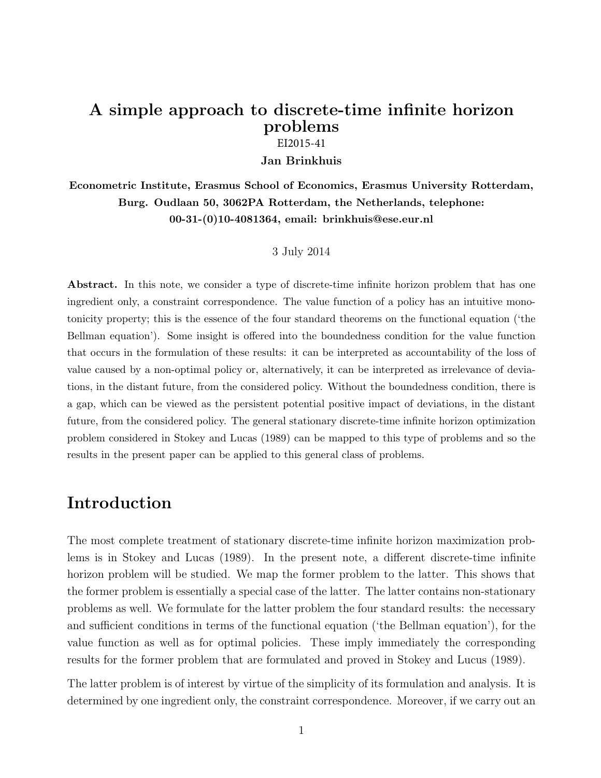## A simple approach to discrete-time infinite horizon problems

EI2015-41

Jan Brinkhuis

Econometric Institute, Erasmus School of Economics, Erasmus University Rotterdam, Burg. Oudlaan 50, 3062PA Rotterdam, the Netherlands, telephone: 00-31-(0)10-4081364, email: brinkhuis@ese.eur.nl

### 3 July 2014

Abstract. In this note, we consider a type of discrete-time infinite horizon problem that has one ingredient only, a constraint correspondence. The value function of a policy has an intuitive monotonicity property; this is the essence of the four standard theorems on the functional equation ('the Bellman equation'). Some insight is offered into the boundedness condition for the value function that occurs in the formulation of these results: it can be interpreted as accountability of the loss of value caused by a non-optimal policy or, alternatively, it can be interpreted as irrelevance of deviations, in the distant future, from the considered policy. Without the boundedness condition, there is a gap, which can be viewed as the persistent potential positive impact of deviations, in the distant future, from the considered policy. The general stationary discrete-time infinite horizon optimization problem considered in Stokey and Lucas (1989) can be mapped to this type of problems and so the results in the present paper can be applied to this general class of problems.

### Introduction

The most complete treatment of stationary discrete-time infinite horizon maximization problems is in Stokey and Lucas (1989). In the present note, a different discrete-time infinite horizon problem will be studied. We map the former problem to the latter. This shows that the former problem is essentially a special case of the latter. The latter contains non-stationary problems as well. We formulate for the latter problem the four standard results: the necessary and sufficient conditions in terms of the functional equation ('the Bellman equation'), for the value function as well as for optimal policies. These imply immediately the corresponding results for the former problem that are formulated and proved in Stokey and Lucus (1989).

The latter problem is of interest by virtue of the simplicity of its formulation and analysis. It is determined by one ingredient only, the constraint correspondence. Moreover, if we carry out an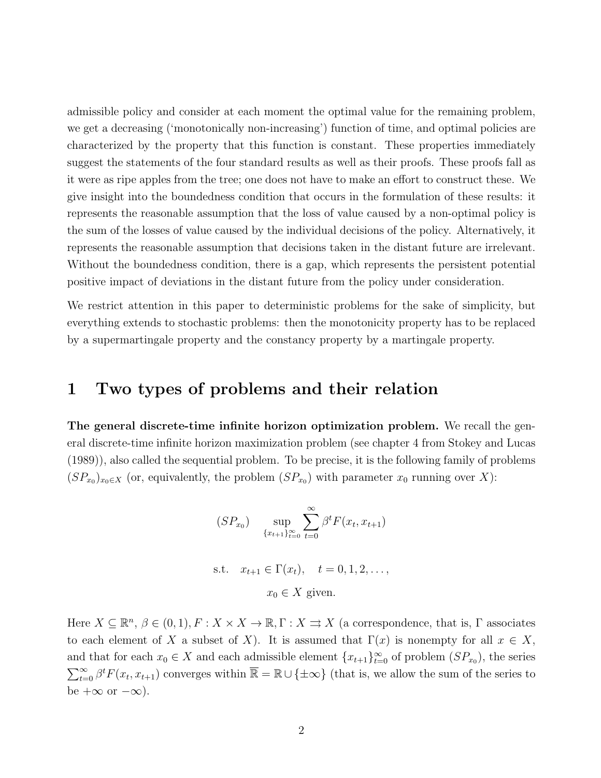admissible policy and consider at each moment the optimal value for the remaining problem, we get a decreasing ('monotonically non-increasing') function of time, and optimal policies are characterized by the property that this function is constant. These properties immediately suggest the statements of the four standard results as well as their proofs. These proofs fall as it were as ripe apples from the tree; one does not have to make an effort to construct these. We give insight into the boundedness condition that occurs in the formulation of these results: it represents the reasonable assumption that the loss of value caused by a non-optimal policy is the sum of the losses of value caused by the individual decisions of the policy. Alternatively, it represents the reasonable assumption that decisions taken in the distant future are irrelevant. Without the boundedness condition, there is a gap, which represents the persistent potential positive impact of deviations in the distant future from the policy under consideration.

We restrict attention in this paper to deterministic problems for the sake of simplicity, but everything extends to stochastic problems: then the monotonicity property has to be replaced by a supermartingale property and the constancy property by a martingale property.

### 1 Two types of problems and their relation

The general discrete-time infinite horizon optimization problem. We recall the general discrete-time infinite horizon maximization problem (see chapter 4 from Stokey and Lucas (1989)), also called the sequential problem. To be precise, it is the following family of problems  $(SP_{x_0})_{x_0 \in X}$  (or, equivalently, the problem  $(SP_{x_0})$  with parameter  $x_0$  running over X):

$$
(SP_{x_0}) \quad \sup_{\{x_{t+1}\}_{t=0}^{\infty}} \sum_{t=0}^{\infty} \beta^t F(x_t, x_{t+1})
$$
  
s.t.  $x_{t+1} \in \Gamma(x_t), \quad t = 0, 1, 2, \dots,$   
 $x_0 \in X \text{ given.}$ 

Here  $X \subseteq \mathbb{R}^n$ ,  $\beta \in (0,1)$ ,  $F: X \times X \to \mathbb{R}$ ,  $\Gamma: X \rightrightarrows X$  (a correspondence, that is,  $\Gamma$  associates to each element of X a subset of X). It is assumed that  $\Gamma(x)$  is nonempty for all  $x \in X$ , and that for each  $x_0 \in X$  and each admissible element  $\{x_{t+1}\}_{t=0}^{\infty}$  of problem  $(SP_{x_0})$ , the series  $\sum_{t=0}^{\infty} \beta^t F(x_t, x_{t+1})$  converges within  $\overline{\mathbb{R}} = \mathbb{R} \cup {\pm \infty}$  (that is, we allow the sum of the series to be  $+\infty$  or  $-\infty$ ).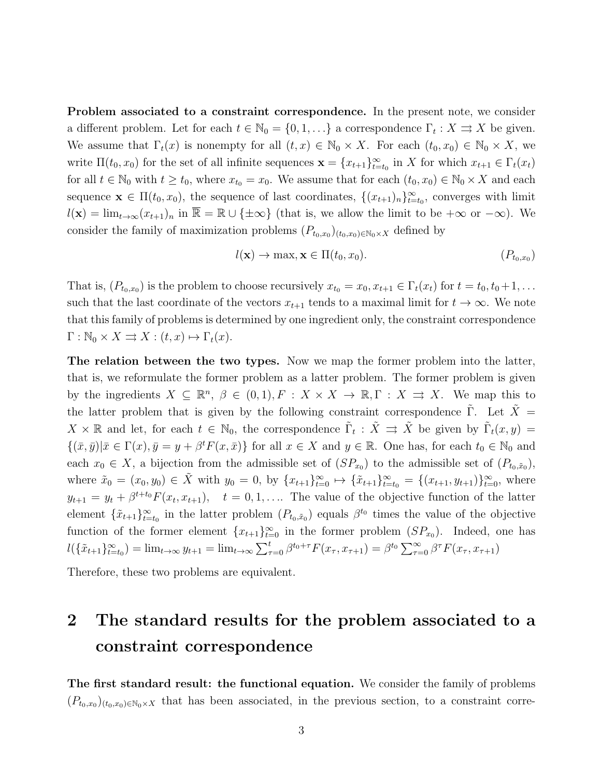Problem associated to a constraint correspondence. In the present note, we consider a different problem. Let for each  $t \in \mathbb{N}_0 = \{0, 1, ...\}$  a correspondence  $\Gamma_t : X \rightrightarrows X$  be given. We assume that  $\Gamma_t(x)$  is nonempty for all  $(t, x) \in \mathbb{N}_0 \times X$ . For each  $(t_0, x_0) \in \mathbb{N}_0 \times X$ , we write  $\Pi(t_0, x_0)$  for the set of all infinite sequences  $\mathbf{x} = \{x_{t+1}\}_{t=t_0}^{\infty}$  in X for which  $x_{t+1} \in \Gamma_t(x_t)$ for all  $t \in \mathbb{N}_0$  with  $t \geq t_0$ , where  $x_{t_0} = x_0$ . We assume that for each  $(t_0, x_0) \in \mathbb{N}_0 \times X$  and each sequence  $\mathbf{x} \in \Pi(t_0, x_0)$ , the sequence of last coordinates,  $\{(x_{t+1})_n\}_{t=t_0}^{\infty}$ , converges with limit  $l(\mathbf{x}) = \lim_{t \to \infty} (x_{t+1})_n$  in  $\overline{\mathbb{R}} = \mathbb{R} \cup \{\pm \infty\}$  (that is, we allow the limit to be  $+\infty$  or  $-\infty$ ). We consider the family of maximization problems  $(P_{t_0,x_0})_{(t_0,x_0)\in\mathbb{N}_0\times X}$  defined by

$$
l(\mathbf{x}) \to \max, \mathbf{x} \in \Pi(t_0, x_0). \tag{P_{t_0, x_0}}
$$

That is,  $(P_{t_0,x_0})$  is the problem to choose recursively  $x_{t_0} = x_0, x_{t+1} \in \Gamma_t(x_t)$  for  $t = t_0, t_0+1, \ldots$ such that the last coordinate of the vectors  $x_{t+1}$  tends to a maximal limit for  $t \to \infty$ . We note that this family of problems is determined by one ingredient only, the constraint correspondence  $\Gamma : \mathbb{N}_0 \times X \rightrightarrows X : (t, x) \mapsto \Gamma_t(x).$ 

The relation between the two types. Now we map the former problem into the latter, that is, we reformulate the former problem as a latter problem. The former problem is given by the ingredients  $X \subseteq \mathbb{R}^n$ ,  $\beta \in (0,1)$ ,  $F : X \times X \to \mathbb{R}$ ,  $\Gamma : X \Rightarrow X$ . We map this to the latter problem that is given by the following constraint correspondence  $\tilde{\Gamma}$ . Let  $\tilde{X}$  =  $X \times \mathbb{R}$  and let, for each  $t \in \mathbb{N}_0$ , the correspondence  $\tilde{\Gamma}_t : \tilde{X} \implies \tilde{X}$  be given by  $\tilde{\Gamma}_t(x, y) =$  $\{(\bar{x}, \bar{y}) | \bar{x} \in \Gamma(x), \bar{y} = y + \beta^t F(x, \bar{x})\}$  for all  $x \in X$  and  $y \in \mathbb{R}$ . One has, for each  $t_0 \in \mathbb{N}_0$  and each  $x_0 \in X$ , a bijection from the admissible set of  $(SP_{x_0})$  to the admissible set of  $(P_{t_0,x_0})$ , where  $\tilde{x}_0 = (x_0, y_0) \in \tilde{X}$  with  $y_0 = 0$ , by  $\{x_{t+1}\}_{t=0}^{\infty} \mapsto \{\tilde{x}_{t+1}\}_{t=0}^{\infty} = \{(x_{t+1}, y_{t+1})\}_{t=0}^{\infty}$ , where  $y_{t+1} = y_t + \beta^{t+t_0} F(x_t, x_{t+1}), \quad t = 0, 1, \ldots$  The value of the objective function of the latter element  $\{\tilde{x}_{t+1}\}_{t=t_0}^{\infty}$  in the latter problem  $(P_{t_0,\tilde{x}_0})$  equals  $\beta^{t_0}$  times the value of the objective function of the former element  $\{x_{t+1}\}_{t=0}^{\infty}$  in the former problem  $(SP_{x_0})$ . Indeed, one has  $l(\{\tilde{x}_{t+1}\}_{t=t_0}^{\infty}) = \lim_{t \to \infty} y_{t+1} = \lim_{t \to \infty} \sum_{\tau=0}^{t} \beta^{t_0+\tau} F(x_{\tau}, x_{\tau+1}) = \beta^{t_0} \sum_{\tau=0}^{\infty} \beta^{\tau} F(x_{\tau}, x_{\tau+1})$ 

Therefore, these two problems are equivalent.

## 2 The standard results for the problem associated to a constraint correspondence

The first standard result: the functional equation. We consider the family of problems  $(P_{t_0,x_0})_{(t_0,x_0)\in\mathbb{N}_0\times X}$  that has been associated, in the previous section, to a constraint corre-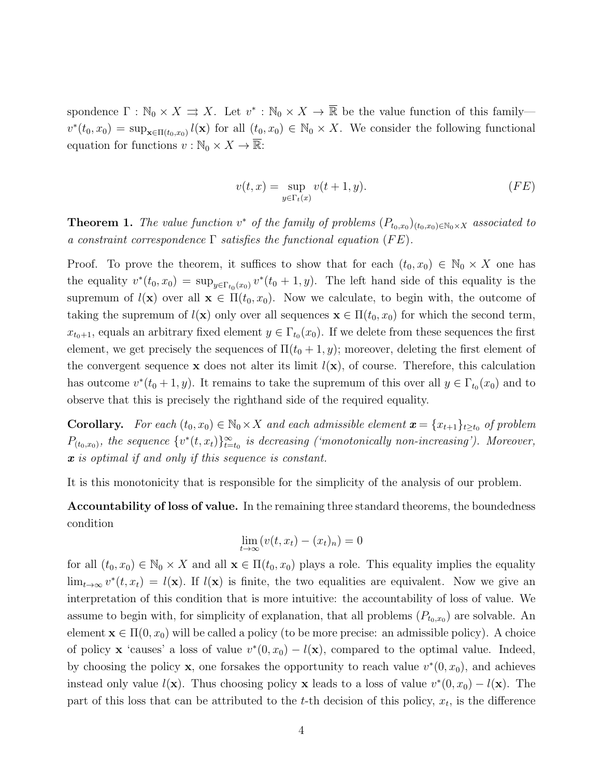spondence  $\Gamma : \mathbb{N}_0 \times X \Rightarrow X$ . Let  $v^* : \mathbb{N}_0 \times X \to \overline{\mathbb{R}}$  be the value function of this family  $v^*(t_0, x_0) = \sup_{\mathbf{x} \in \Pi(t_0, x_0)} l(\mathbf{x})$  for all  $(t_0, x_0) \in \mathbb{N}_0 \times X$ . We consider the following functional equation for functions  $v : \mathbb{N}_0 \times X \to \overline{\mathbb{R}}$ :

$$
v(t,x) = \sup_{y \in \Gamma_t(x)} v(t+1,y). \tag{FE}
$$

**Theorem 1.** The value function  $v^*$  of the family of problems  $(P_{t_0,x_0})_{(t_0,x_0)\in\mathbb{N}_0\times X}$  associated to a constraint correspondence  $\Gamma$  satisfies the functional equation (FE).

Proof. To prove the theorem, it suffices to show that for each  $(t_0, x_0) \in \mathbb{N}_0 \times X$  one has the equality  $v^*(t_0, x_0) = \sup_{y \in \Gamma_{t_0}(x_0)} v^*(t_0 + 1, y)$ . The left hand side of this equality is the supremum of  $l(\mathbf{x})$  over all  $\mathbf{x} \in \Pi(t_0, x_0)$ . Now we calculate, to begin with, the outcome of taking the supremum of  $l(\mathbf{x})$  only over all sequences  $\mathbf{x} \in \Pi(t_0, x_0)$  for which the second term,  $x_{t_0+1}$ , equals an arbitrary fixed element  $y \in \Gamma_{t_0}(x_0)$ . If we delete from these sequences the first element, we get precisely the sequences of  $\Pi(t_0 + 1, y)$ ; moreover, deleting the first element of the convergent sequence x does not alter its limit  $l(x)$ , of course. Therefore, this calculation has outcome  $v^*(t_0+1,y)$ . It remains to take the supremum of this over all  $y \in \Gamma_{t_0}(x_0)$  and to observe that this is precisely the righthand side of the required equality.

**Corollary.** For each  $(t_0, x_0) \in \mathbb{N}_0 \times X$  and each admissible element  $\mathbf{x} = \{x_{t+1}\}_{t \geq t_0}$  of problem  $P_{(t_0,x_0)}$ , the sequence  $\{v^*(t,x_t)\}_{t=t_0}^{\infty}$  is decreasing ('monotonically non-increasing'). Moreover,  $\boldsymbol{x}$  is optimal if and only if this sequence is constant.

It is this monotonicity that is responsible for the simplicity of the analysis of our problem.

Accountability of loss of value. In the remaining three standard theorems, the boundedness condition

$$
\lim_{t \to \infty} (v(t, x_t) - (x_t)_n) = 0
$$

for all  $(t_0, x_0) \in \mathbb{N}_0 \times X$  and all  $\mathbf{x} \in \Pi(t_0, x_0)$  plays a role. This equality implies the equality  $\lim_{t\to\infty} v^*(t, x_t) = l(\mathbf{x})$ . If  $l(\mathbf{x})$  is finite, the two equalities are equivalent. Now we give an interpretation of this condition that is more intuitive: the accountability of loss of value. We assume to begin with, for simplicity of explanation, that all problems  $(P_{t_0,x_0})$  are solvable. An element  $\mathbf{x} \in \Pi(0, x_0)$  will be called a policy (to be more precise: an admissible policy). A choice of policy **x** 'causes' a loss of value  $v^*(0, x_0) - l(\mathbf{x})$ , compared to the optimal value. Indeed, by choosing the policy **x**, one forsakes the opportunity to reach value  $v^*(0, x_0)$ , and achieves instead only value  $l(\mathbf{x})$ . Thus choosing policy **x** leads to a loss of value  $v^*(0, x_0) - l(\mathbf{x})$ . The part of this loss that can be attributed to the  $t$ -th decision of this policy,  $x_t$ , is the difference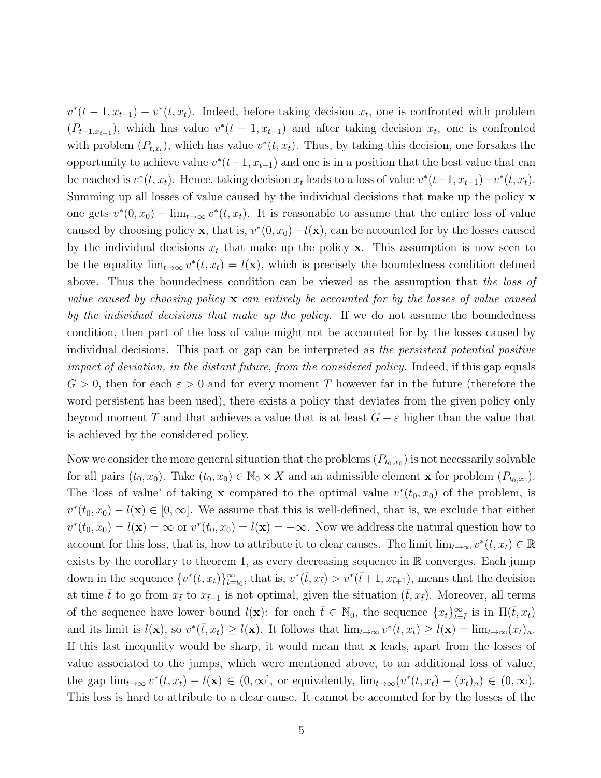$v^*(t-1, x_{t-1}) - v^*(t, x_t)$ . Indeed, before taking decision  $x_t$ , one is confronted with problem  $(P_{t-1,x_{t-1}})$ , which has value  $v^*(t-1,x_{t-1})$  and after taking decision  $x_t$ , one is confronted with problem  $(P_{t,x_t})$ , which has value  $v^*(t, x_t)$ . Thus, by taking this decision, one forsakes the opportunity to achieve value  $v^*(t-1, x_{t-1})$  and one is in a position that the best value that can be reached is  $v^*(t, x_t)$ . Hence, taking decision  $x_t$  leads to a loss of value  $v^*(t-1, x_{t-1}) - v^*(t, x_t)$ . Summing up all losses of value caused by the individual decisions that make up the policy x one gets  $v^*(0, x_0) - \lim_{t\to\infty} v^*(t, x_t)$ . It is reasonable to assume that the entire loss of value caused by choosing policy **x**, that is,  $v^*(0, x_0) - l(\mathbf{x})$ , can be accounted for by the losses caused by the individual decisions  $x_t$  that make up the policy **x**. This assumption is now seen to be the equality  $\lim_{t\to\infty} v^*(t, x_t) = l(\mathbf{x})$ , which is precisely the boundedness condition defined above. Thus the boundedness condition can be viewed as the assumption that the loss of value caused by choosing policy  $\bf{x}$  can entirely be accounted for by the losses of value caused by the individual decisions that make up the policy. If we do not assume the boundedness condition, then part of the loss of value might not be accounted for by the losses caused by individual decisions. This part or gap can be interpreted as the persistent potential positive impact of deviation, in the distant future, from the considered policy. Indeed, if this gap equals  $G > 0$ , then for each  $\varepsilon > 0$  and for every moment T however far in the future (therefore the word persistent has been used), there exists a policy that deviates from the given policy only beyond moment T and that achieves a value that is at least  $G - \varepsilon$  higher than the value that is achieved by the considered policy.

Now we consider the more general situation that the problems  $(P_{t_0,x_0})$  is not necessarily solvable for all pairs  $(t_0, x_0)$ . Take  $(t_0, x_0) \in \mathbb{N}_0 \times X$  and an admissible element **x** for problem  $(P_{t_0, x_0})$ . The 'loss of value' of taking **x** compared to the optimal value  $v^*(t_0, x_0)$  of the problem, is  $v^*(t_0, x_0) - l(\mathbf{x}) \in [0, \infty]$ . We assume that this is well-defined, that is, we exclude that either  $v^*(t_0, x_0) = l(\mathbf{x}) = \infty$  or  $v^*(t_0, x_0) = l(\mathbf{x}) = -\infty$ . Now we address the natural question how to account for this loss, that is, how to attribute it to clear causes. The limit  $\lim_{t\to\infty} v^*(t, x_t) \in \overline{\mathbb{R}}$ exists by the corollary to theorem 1, as every decreasing sequence in  $\overline{\mathbb{R}}$  converges. Each jump down in the sequence  $\{v^*(t, x_t)\}_{t=t_0}^{\infty}$ , that is,  $v^*(\bar{t}, x_{\bar{t}}) > v^*(\bar{t}+1, x_{\bar{t}+1})$ , means that the decision at time  $\bar{t}$  to go from  $x_{\bar{t}}$  to  $x_{\bar{t}+1}$  is not optimal, given the situation  $(\bar{t}, x_{\bar{t}})$ . Moreover, all terms of the sequence have lower bound  $l(\mathbf{x})$ : for each  $\bar{t} \in \mathbb{N}_0$ , the sequence  $\{x_t\}_{t=\bar{t}}^{\infty}$  is in  $\Pi(\bar{t}, x_{\bar{t}})$ and its limit is  $l(\mathbf{x})$ , so  $v^*(\bar{t}, x_{\bar{t}}) \geq l(\mathbf{x})$ . It follows that  $\lim_{t\to\infty} v^*(t, x_t) \geq l(\mathbf{x}) = \lim_{t\to\infty} (x_t)_n$ . If this last inequality would be sharp, it would mean that x leads, apart from the losses of value associated to the jumps, which were mentioned above, to an additional loss of value, the gap  $\lim_{t\to\infty} v^*(t, x_t) - l(\mathbf{x}) \in (0, \infty]$ , or equivalently,  $\lim_{t\to\infty} (v^*(t, x_t) - (x_t)_n) \in (0, \infty)$ . This loss is hard to attribute to a clear cause. It cannot be accounted for by the losses of the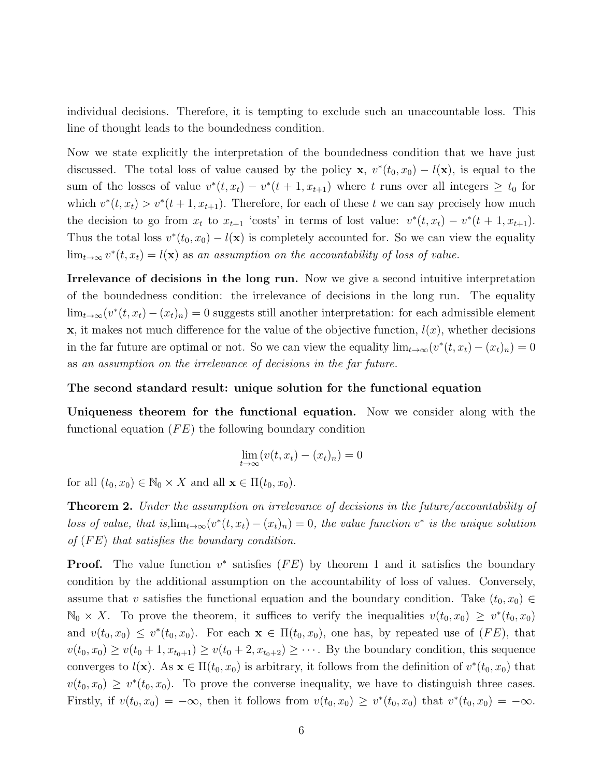individual decisions. Therefore, it is tempting to exclude such an unaccountable loss. This line of thought leads to the boundedness condition.

Now we state explicitly the interpretation of the boundedness condition that we have just discussed. The total loss of value caused by the policy **x**,  $v^*(t_0, x_0) - l(\mathbf{x})$ , is equal to the sum of the losses of value  $v^*(t, x_t) - v^*(t + 1, x_{t+1})$  where t runs over all integers  $\geq t_0$  for which  $v^*(t, x_t) > v^*(t+1, x_{t+1})$ . Therefore, for each of these t we can say precisely how much the decision to go from  $x_t$  to  $x_{t+1}$  'costs' in terms of lost value:  $v^*(t, x_t) - v^*(t+1, x_{t+1})$ . Thus the total loss  $v^*(t_0, x_0) - l(\mathbf{x})$  is completely accounted for. So we can view the equality  $\lim_{t\to\infty} v^*(t, x_t) = l(\mathbf{x})$  as an assumption on the accountability of loss of value.

Irrelevance of decisions in the long run. Now we give a second intuitive interpretation of the boundedness condition: the irrelevance of decisions in the long run. The equality  $\lim_{t\to\infty}(v^*(t,x_t)-(x_t)_n)=0$  suggests still another interpretation: for each admissible element  $x$ , it makes not much difference for the value of the objective function,  $l(x)$ , whether decisions in the far future are optimal or not. So we can view the equality  $\lim_{t\to\infty} (v^*(t, x_t) - (x_t)_n) = 0$ as an assumption on the irrelevance of decisions in the far future.

#### The second standard result: unique solution for the functional equation

Uniqueness theorem for the functional equation. Now we consider along with the functional equation  $(FE)$  the following boundary condition

$$
\lim_{t \to \infty} (v(t, x_t) - (x_t)_n) = 0
$$

for all  $(t_0, x_0) \in \mathbb{N}_0 \times X$  and all  $\mathbf{x} \in \Pi(t_0, x_0)$ .

Theorem 2. Under the assumption on irrelevance of decisions in the future/accountability of loss of value, that is, $\lim_{t\to\infty}(v^*(t,x_t)-(x_t)_n)=0$ , the value function  $v^*$  is the unique solution of  $(FE)$  that satisfies the boundary condition.

**Proof.** The value function  $v^*$  satisfies  $(FE)$  by theorem 1 and it satisfies the boundary condition by the additional assumption on the accountability of loss of values. Conversely, assume that v satisfies the functional equation and the boundary condition. Take  $(t_0, x_0) \in$  $\mathbb{N}_0 \times X$ . To prove the theorem, it suffices to verify the inequalities  $v(t_0, x_0) \geq v^*(t_0, x_0)$ and  $v(t_0, x_0) \leq v^*(t_0, x_0)$ . For each  $\mathbf{x} \in \Pi(t_0, x_0)$ , one has, by repeated use of  $(FE)$ , that  $v(t_0, x_0) \ge v(t_0 + 1, x_{t_0+1}) \ge v(t_0 + 2, x_{t_0+2}) \ge \cdots$ . By the boundary condition, this sequence converges to  $l(\mathbf{x})$ . As  $\mathbf{x} \in \Pi(t_0, x_0)$  is arbitrary, it follows from the definition of  $v^*(t_0, x_0)$  that  $v(t_0, x_0) \geq v^*(t_0, x_0)$ . To prove the converse inequality, we have to distinguish three cases. Firstly, if  $v(t_0, x_0) = -\infty$ , then it follows from  $v(t_0, x_0) \ge v^*(t_0, x_0)$  that  $v^*(t_0, x_0) = -\infty$ .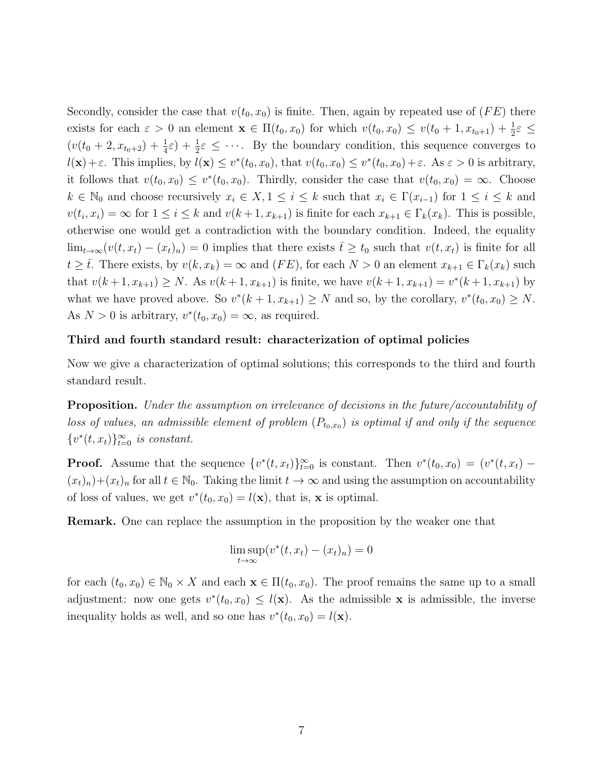Secondly, consider the case that  $v(t_0, x_0)$  is finite. Then, again by repeated use of  $(FE)$  there exists for each  $\varepsilon > 0$  an element  $\mathbf{x} \in \Pi(t_0, x_0)$  for which  $v(t_0, x_0) \le v(t_0 + 1, x_{t_0+1}) + \frac{1}{2}\varepsilon \le$  $(v(t_0+2, x_{t_0+2})+\frac{1}{4}\varepsilon)+\frac{1}{2}\varepsilon \leq \cdots$ . By the boundary condition, this sequence converges to  $l(\mathbf{x}) + \varepsilon$ . This implies, by  $l(\mathbf{x}) \leq v^*(t_0, x_0)$ , that  $v(t_0, x_0) \leq v^*(t_0, x_0) + \varepsilon$ . As  $\varepsilon > 0$  is arbitrary, it follows that  $v(t_0, x_0) \leq v^*(t_0, x_0)$ . Thirdly, consider the case that  $v(t_0, x_0) = \infty$ . Choose  $k \in \mathbb{N}_0$  and choose recursively  $x_i \in X, 1 \leq i \leq k$  such that  $x_i \in \Gamma(x_{i-1})$  for  $1 \leq i \leq k$  and  $v(t_i, x_i) = \infty$  for  $1 \le i \le k$  and  $v(k+1, x_{k+1})$  is finite for each  $x_{k+1} \in \Gamma_k(x_k)$ . This is possible, otherwise one would get a contradiction with the boundary condition. Indeed, the equality  $\lim_{t\to\infty}(v(t,x_t)-(x_t)_n)=0$  implies that there exists  $\bar{t}\geq t_0$  such that  $v(t,x_t)$  is finite for all  $t \geq \overline{t}$ . There exists, by  $v(k, x_k) = \infty$  and  $(FE)$ , for each  $N > 0$  an element  $x_{k+1} \in \Gamma_k(x_k)$  such that  $v(k+1, x_{k+1}) \geq N$ . As  $v(k+1, x_{k+1})$  is finite, we have  $v(k+1, x_{k+1}) = v^*(k+1, x_{k+1})$  by what we have proved above. So  $v^*(k+1, x_{k+1}) \geq N$  and so, by the corollary,  $v^*(t_0, x_0) \geq N$ . As  $N > 0$  is arbitrary,  $v^*(t_0, x_0) = \infty$ , as required.

### Third and fourth standard result: characterization of optimal policies

Now we give a characterization of optimal solutions; this corresponds to the third and fourth standard result.

Proposition. Under the assumption on irrelevance of decisions in the future/accountability of loss of values, an admissible element of problem  $(P_{t_0,x_0})$  is optimal if and only if the sequence  ${v^*(t, x_t)}_{t=0}^{\infty}$  is constant.

**Proof.** Assume that the sequence  $\{v^*(t, x_t)\}_{t=0}^{\infty}$  is constant. Then  $v^*(t_0, x_0) = (v^*(t, x_t) (x_t)_n+(x_t)_n$  for all  $t \in \mathbb{N}_0$ . Taking the limit  $t \to \infty$  and using the assumption on accountability of loss of values, we get  $v^*(t_0, x_0) = l(\mathbf{x})$ , that is, **x** is optimal.

Remark. One can replace the assumption in the proposition by the weaker one that

$$
\limsup_{t \to \infty} (v^*(t, x_t) - (x_t)_n) = 0
$$

for each  $(t_0, x_0) \in \mathbb{N}_0 \times X$  and each  $\mathbf{x} \in \Pi(t_0, x_0)$ . The proof remains the same up to a small adjustment: now one gets  $v^*(t_0, x_0) \leq l(\mathbf{x})$ . As the admissible x is admissible, the inverse inequality holds as well, and so one has  $v^*(t_0, x_0) = l(\mathbf{x})$ .